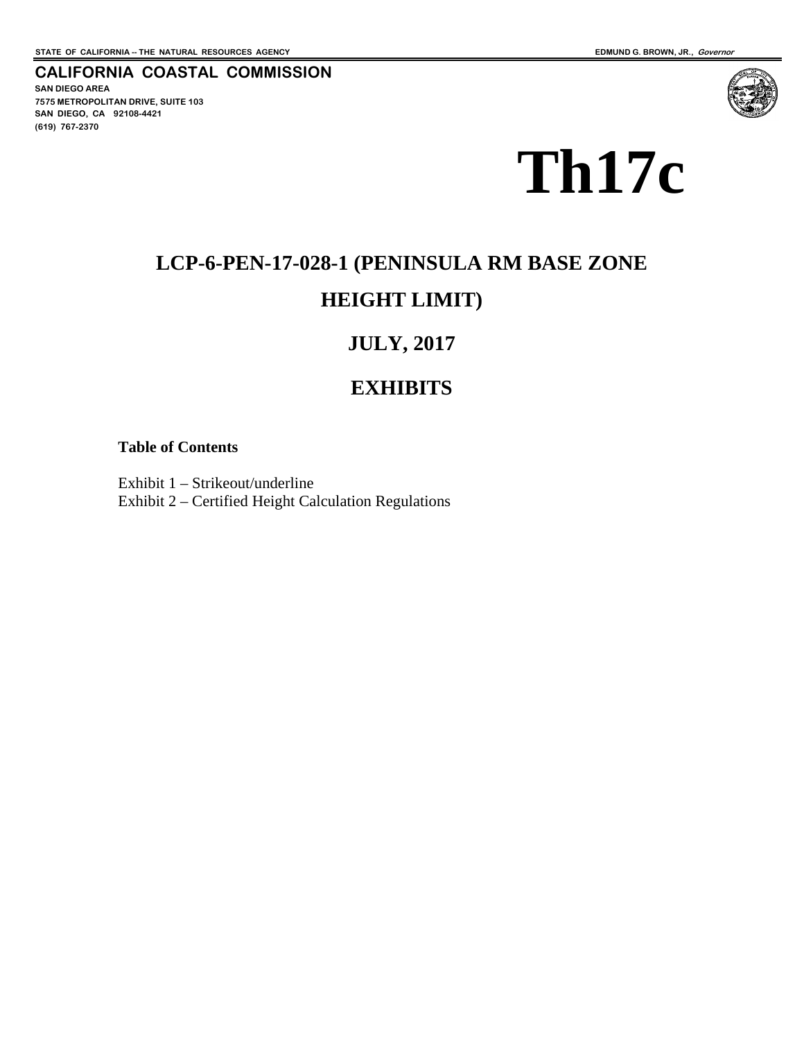#### **CALIFORNIA COASTAL COMMISSION SAN DIEGO AREA 7575 METROPOLITAN DRIVE, SUITE 103 SAN DIEGO, CA 92108-4421 (619) 767-2370**



# **LCP-6-PEN-17-028-1 (PENINSULA RM BASE ZONE HEIGHT LIMIT)**

# **JULY, 2017**

# **EXHIBITS**

#### **Table of Contents**

Exhibit 1 – Strikeout/underline Exhibit 2 – Certified Height Calculation Regulations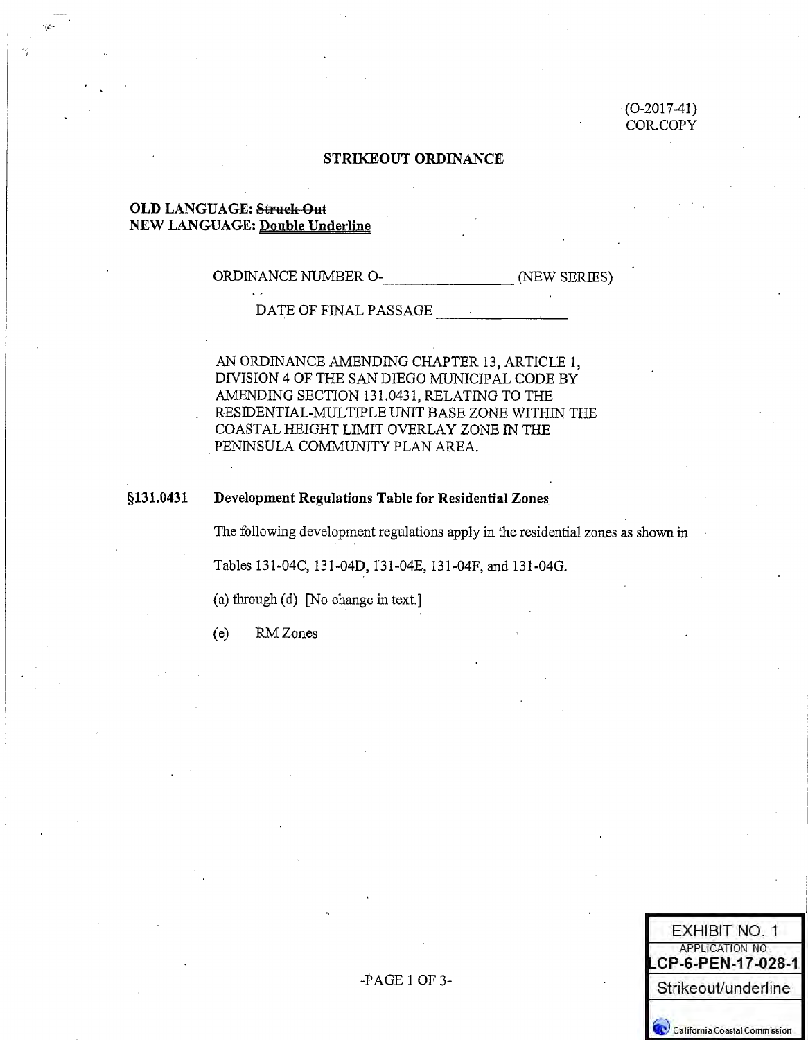$(O-2017-41)$ COR.COPY

#### **STRIKEOUT ORDINANCE**

#### **OLD LANGUAGE: Struck Out NEW LANGUAGE: Double Underline**

ORDINANCE NUMBER O- (NEW SERIES)

DATE OF FINAL PASSAGE

AN ORDINANCE AMENDING CHAPTER 13, ARTICLE 1, DIVISION 4 OF THE SAN DIEGO MUNICIPAL CODE BY AMENDING SECTION 131.0431, RELATING TO THE RESIDENTIAL-MULTIPLE UNIT BASE ZONE WITHIN THE COASTAL HEIGHT LIMIT OVERLAY ZONE IN THE PENINSULA COMMUNITY PLAN AREA.

#### §131.0431 Development Regulations Table for Residential Zones

The following development regulations apply in the residential zones as shown in

Tables 131-04C, 131-04D, 131-04E, 131-04F, and 131-04G.

(a) through (d) [No change in text.]

RM Zones  $(e)$ 

| <b>EXHIBIT NO. 1</b>                  |
|---------------------------------------|
| APPLICATION NO.<br>LCP-6-PEN-17-028-1 |
| Strikeout/underline                   |
| California Coastal Commission         |

 $-PAGE1OF3-$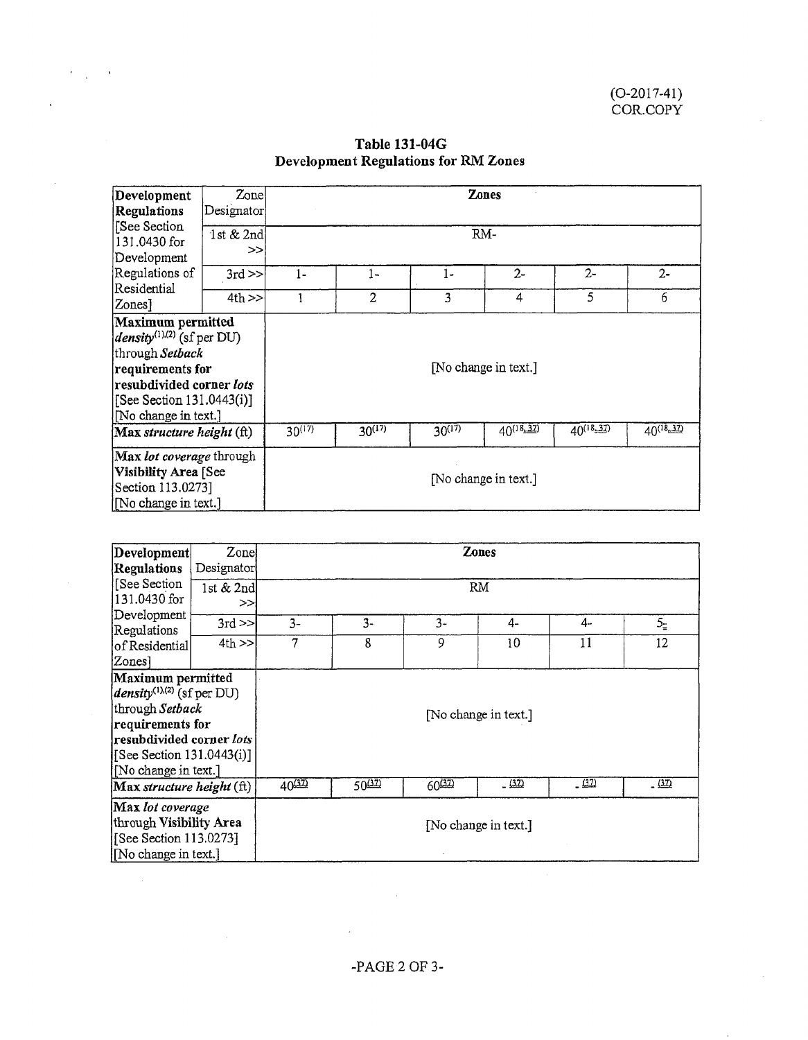| Development<br><b>Regulations</b>                                                                                                                                           | Zone<br>Designator | Zones<br>RM-         |             |             |                      |                |                |
|-----------------------------------------------------------------------------------------------------------------------------------------------------------------------------|--------------------|----------------------|-------------|-------------|----------------------|----------------|----------------|
| [See Section<br>131.0430 for<br>Development                                                                                                                                 | 1st $& 2nd$<br>>>  |                      |             |             |                      |                |                |
| Regulations of                                                                                                                                                              | $3rd \gg$          | 1-                   | 1-          | $1-$        | $2 -$                | $2 -$          | $2 -$          |
| Residential<br>Zones <sup>1</sup>                                                                                                                                           | $4th$ >>           |                      | 2           | 3           | 4                    | 5              | 6              |
| Maximum permitted<br>$density^{(1),(2)}$ (sf per DU)<br>through Setback<br>requirements for<br>resubdivided corner lots<br>[See Section 131.0443(i)]<br>No change in text.] |                    | [No change in text.] |             |             |                      |                |                |
| Max structure height (ft)                                                                                                                                                   |                    | $30^{(17)}$          | $30^{(17)}$ | $30^{(17)}$ | $40^{(18,32)}$       | $40^{(18,37)}$ | $40^{(18,37)}$ |
| Max lot coverage through<br>Visibility Area [See<br>Section 113.0273]<br>[No change in text.]                                                                               |                    |                      |             |             | [No change in text.] |                |                |

# **Table 131-04G Development Regulations for RM Zones**

 $\epsilon_{\rm max}$  $\sim$   $\lambda$ 

 $\sim 10^{-1}$ 

 $\sim$ 

 $\ddot{\phantom{a}}$ 

 $\sim$ 

| <b>Zones</b><br>Development<br>Zone                                                                                                                                                        |             |            |             |       |                      |        |                |  |
|--------------------------------------------------------------------------------------------------------------------------------------------------------------------------------------------|-------------|------------|-------------|-------|----------------------|--------|----------------|--|
| <b>Regulations</b>                                                                                                                                                                         |             | Designator |             |       |                      |        |                |  |
| See Section                                                                                                                                                                                | 1st $& 2nd$ | <b>RM</b>  |             |       |                      |        |                |  |
| 131.0430 for                                                                                                                                                                               | $\gt$       |            |             |       |                      |        |                |  |
| Development<br>Regulations                                                                                                                                                                 | $3rd \ge$   | $3-$       | $3-$        | $3 -$ | $4-$                 | $4-$   | 5 <sub>z</sub> |  |
| of Residential                                                                                                                                                                             | $4th$ $>$   | 7          | 8           | 9     | 10                   | 11     | 12             |  |
| Zones]                                                                                                                                                                                     |             |            |             |       |                      |        |                |  |
| Maximum permitted<br><i>density</i> <sup>(1),(2)</sup> (sf per DU)<br>through Setback<br>requirements for<br>resubdivided corner lots<br>[See Section 131.0443(i)]<br>[No change in text.] |             |            |             |       | [No change in text.] |        |                |  |
| Max structure height (ft)                                                                                                                                                                  |             | $40^{32}$  | <u>50مم</u> | 60422 | $-$ (32)             | - (32) | (37)           |  |
| Max lot coverage<br>through Visibility Area<br>[See Section 113.0273]<br>[No change in text.]                                                                                              |             |            |             |       | [No change in text.] |        |                |  |

 $\bar{\mathcal{A}}$ 

 $\mathcal{L}$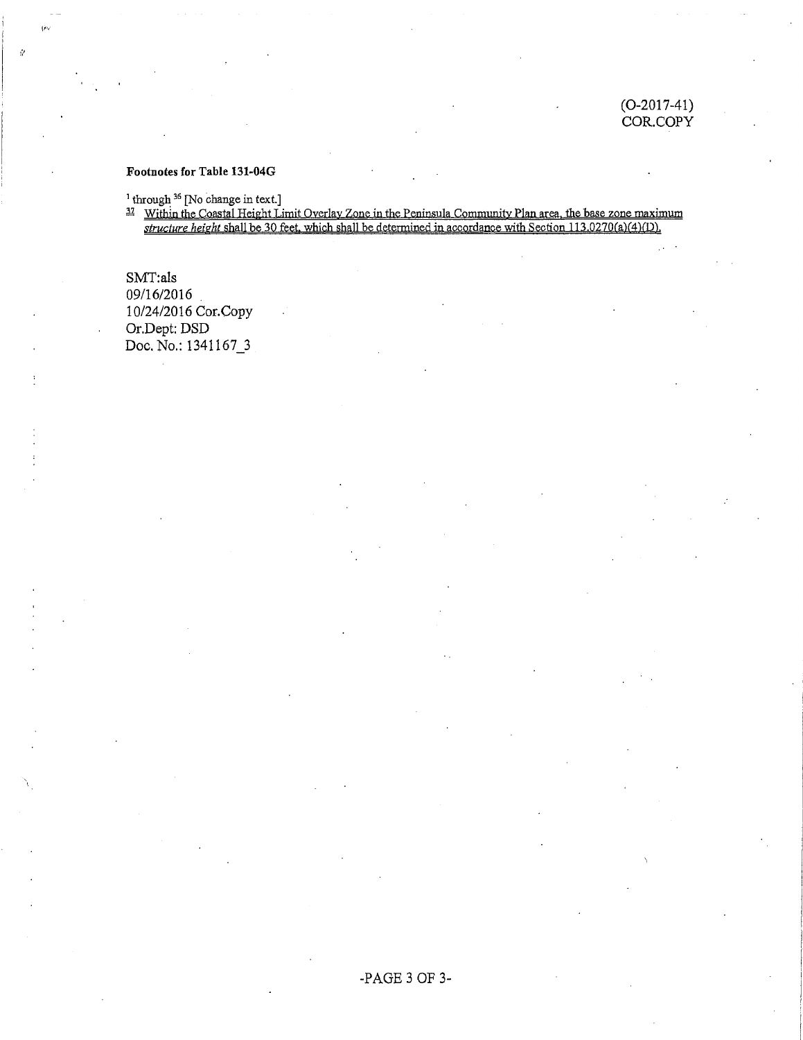#### $(O-2017-41)$ COR.COPY

#### Footnotes for Table 131-04G

<sup>1</sup> through <sup>36</sup> [No change in text.]<br><sup>17</sup> Within the Coastal Height Limit Overlay Zone in the Peninsula Community Plan area, the base zone maximum<br>*structure height shall be 30 feet, which shall be determined in accordan* 

SMT:als 09/16/2016 10/24/2016 Cor.Copy Or.Dept: DSD Doc. No.: 1341167\_3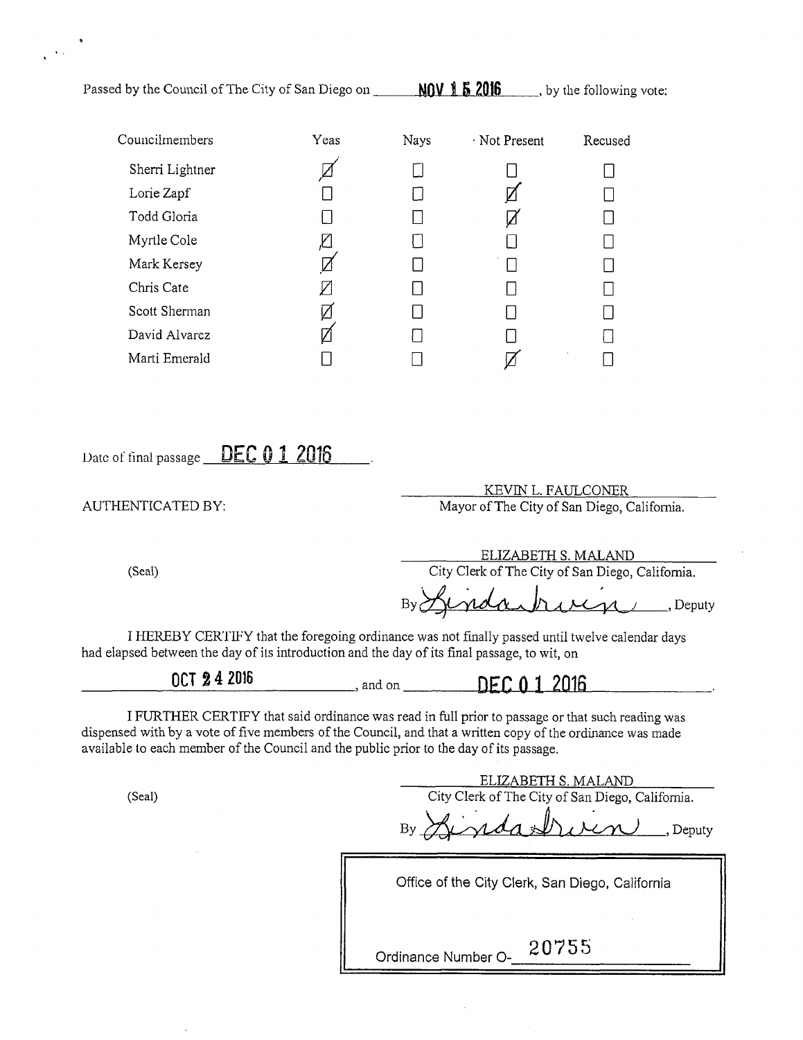| Passed by the Council of The City of San Diego on                                                                                                                                                                                                                                                         |      |                             | $\frac{1600 \text{ N}}{152016}$ , by the following vote: |                                                            |
|-----------------------------------------------------------------------------------------------------------------------------------------------------------------------------------------------------------------------------------------------------------------------------------------------------------|------|-----------------------------|----------------------------------------------------------|------------------------------------------------------------|
| Councilmembers                                                                                                                                                                                                                                                                                            | Yeas | Nays                        | · Not Present                                            | Recused                                                    |
| Sherri Lightner                                                                                                                                                                                                                                                                                           |      |                             |                                                          | $\mathbb{R}^n$                                             |
| Lorie Zapf                                                                                                                                                                                                                                                                                                |      |                             |                                                          |                                                            |
| Todd Gloria                                                                                                                                                                                                                                                                                               |      |                             | Ø                                                        |                                                            |
| Myrtle Cole                                                                                                                                                                                                                                                                                               | Ø    |                             |                                                          |                                                            |
| Mark Kersey                                                                                                                                                                                                                                                                                               |      |                             |                                                          |                                                            |
| Chris Cate                                                                                                                                                                                                                                                                                                |      | $\mathcal{L}_{\mathcal{A}}$ |                                                          |                                                            |
| Scott Sherman                                                                                                                                                                                                                                                                                             | Ø    | ∐                           |                                                          |                                                            |
| David Alvarez                                                                                                                                                                                                                                                                                             |      | ∐                           |                                                          | U                                                          |
| Marti Emerald                                                                                                                                                                                                                                                                                             |      | $\Box$                      | Ø                                                        | $\Box$                                                     |
| AUTHENTICATED BY:                                                                                                                                                                                                                                                                                         |      |                             | ELIZABETH S. MALAND                                      | Mayor of The City of San Diego, California.                |
| (Seal)                                                                                                                                                                                                                                                                                                    |      |                             |                                                          | City Clerk of The City of San Diego, California.<br>Deputy |
| I HEREBY CERTIFY that the foregoing ordinance was not finally passed until twelve calendar days<br>had elapsed between the day of its introduction and the day of its final passage, to wit, on                                                                                                           |      |                             |                                                          |                                                            |
| OCT 24 2016                                                                                                                                                                                                                                                                                               |      |                             | $\Box$ , and on $\Box$ DEC 0 1 2016                      |                                                            |
| I FURTHER CERTIFY that said ordinance was read in full prior to passage or that such reading was<br>dispensed with by a vote of five members of the Council, and that a written copy of the ordinance was made<br>available to each member of the Council and the public prior to the day of its passage. |      |                             |                                                          |                                                            |
| (Seal)                                                                                                                                                                                                                                                                                                    |      |                             | <u>ELIZABETH S. MALAND</u>                               | City Clerk of The City of San Diego, California.<br>Deputy |
|                                                                                                                                                                                                                                                                                                           |      |                             |                                                          | Office of the City Clerk, San Diego, California            |
|                                                                                                                                                                                                                                                                                                           |      |                             |                                                          |                                                            |
|                                                                                                                                                                                                                                                                                                           |      |                             |                                                          |                                                            |

 $\mathcal{A}_{\mathcal{A}}$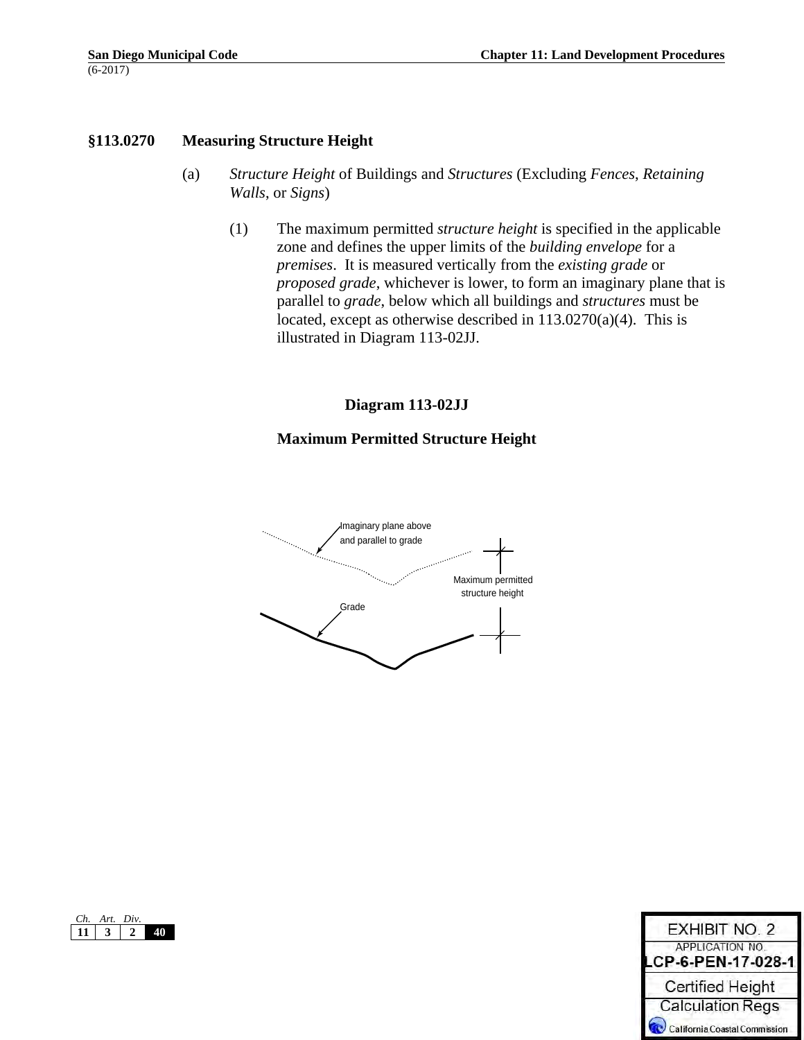# **§113.0270 Measuring Structure Height**

- (a) *Structure Height* of Buildings and *Structures* (Excluding *Fences*, *Retaining Walls*, or *Signs*)
	- (1) The maximum permitted *structure height* is specified in the applicable zone and defines the upper limits of the *building envelope* for a *premises*. It is measured vertically from the *existing grade* or *proposed grade*, whichever is lower, to form an imaginary plane that is parallel to *grade*, below which all buildings and *structures* must be located, except as otherwise described in  $113.0270(a)(4)$ . This is illustrated in Diagram 113-02JJ.

# **Diagram 113-02JJ**

# **Maximum Permitted Structure Height**



|  | Art. Div. |  |
|--|-----------|--|
|  |           |  |

| <b>EXHIBIT NO. 2</b>                  |
|---------------------------------------|
| APPLICATION NO.<br>LCP-6-PEN-17-028-1 |
| <b>Certified Height</b>               |
| <b>Calculation Regs</b>               |
| California Coastal Commission         |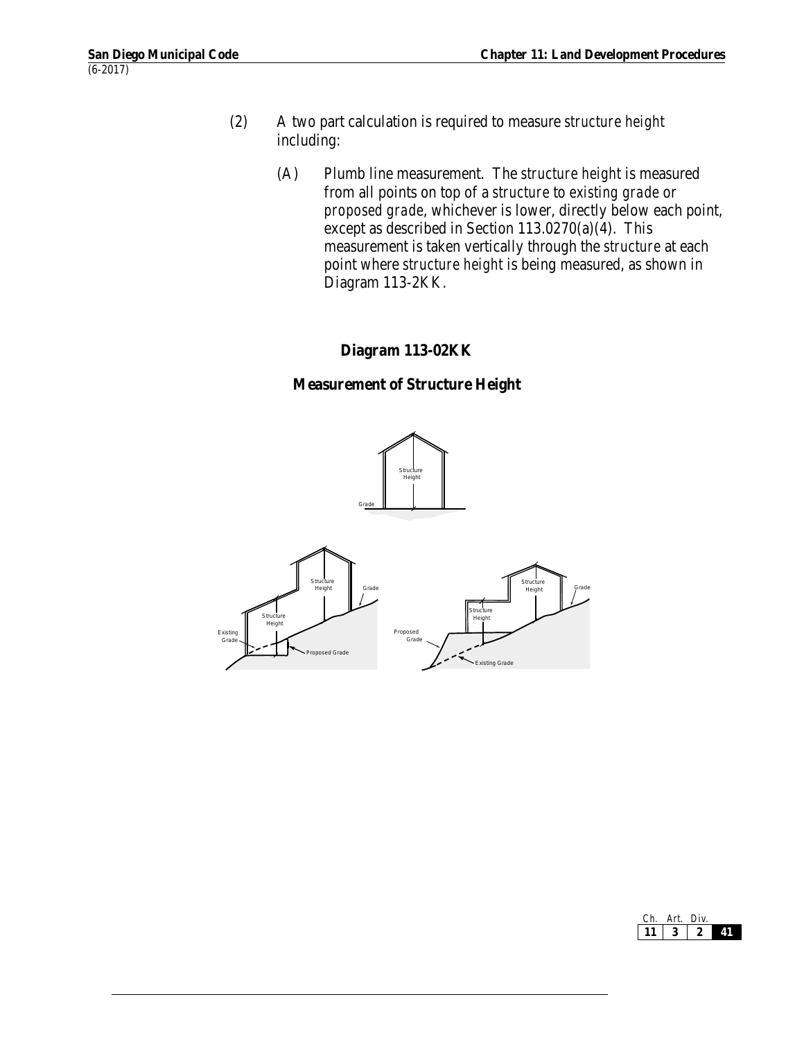- (2) A two part calculation is required to measure *structure height* including:
	- (A) Plumb line measurement. The *structure height* is measured from all points on top of a *structure* to *existing grade* or *proposed grade*, whichever is lower, directly below each point, except as described in Section 113.0270(a)(4). This measurement is taken vertically through the *structure* at each point where *structure height* is being measured, as shown in Diagram 113-2KK.

# **Diagram 113-02KK**

# **Measurement of Structure Height**



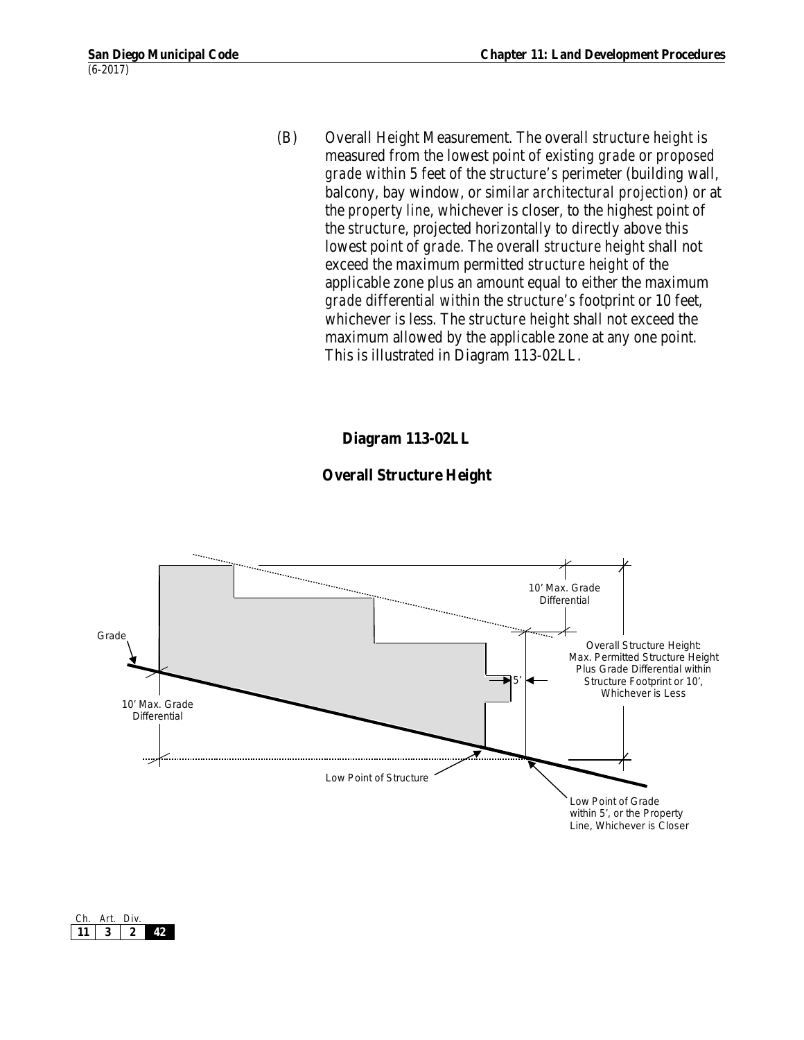(B) Overall Height Measurement. The overall *structure height* is measured from the lowest point of *existing grade* or *proposed grade* within 5 feet of the *structure's* perimeter (building wall, balcony, bay window, or similar *architectural projection*) or at the *property line*, whichever is closer, to the highest point of the *structure*, projected horizontally to directly above this lowest point of *grade*. The overall *structure height* shall not exceed the maximum permitted *structure height* of the applicable zone plus an amount equal to either the maximum *grade* differential within the *structure's* footprint or 10 feet, whichever is less. The *structure height* shall not exceed the maximum allowed by the applicable zone at any one point. This is illustrated in Diagram 113-02LL.

# **Diagram 113-02LL**

# **Overall Structure Height**



| $\mathbf{f}$ | Art. | Div. |  |
|--------------|------|------|--|
|              |      |      |  |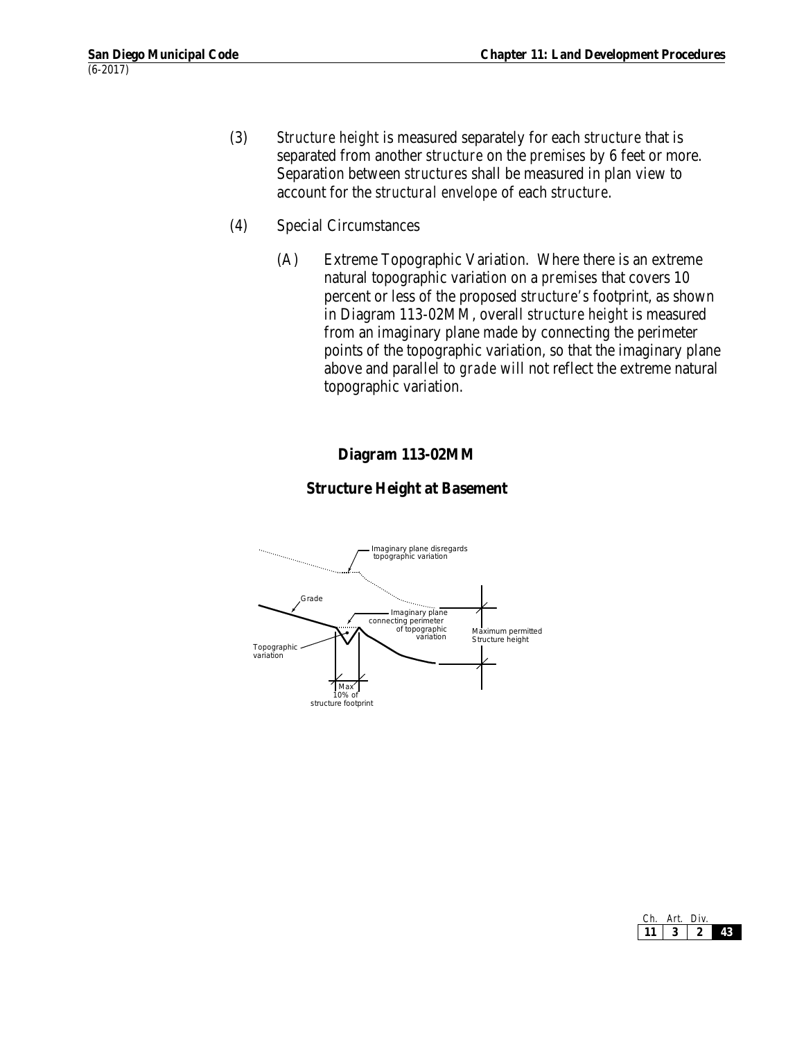- (3) *Structure height* is measured separately for each *structure* that is separated from another *structure* on the *premises* by 6 feet or more. Separation between *structures* shall be measured in plan view to account for the *structural envelope* of each *structure*.
- (4) Special Circumstances
	- (A) Extreme Topographic Variation. Where there is an extreme natural topographic variation on a *premises* that covers 10 percent or less of the proposed *structure's* footprint, as shown in Diagram 113-02MM, overall *structure height* is measured from an imaginary plane made by connecting the perimeter points of the topographic variation, so that the imaginary plane above and parallel to *grade* will not reflect the extreme natural topographic variation.

# **Diagram 113-02MM**

#### **Structure Height at Basement**



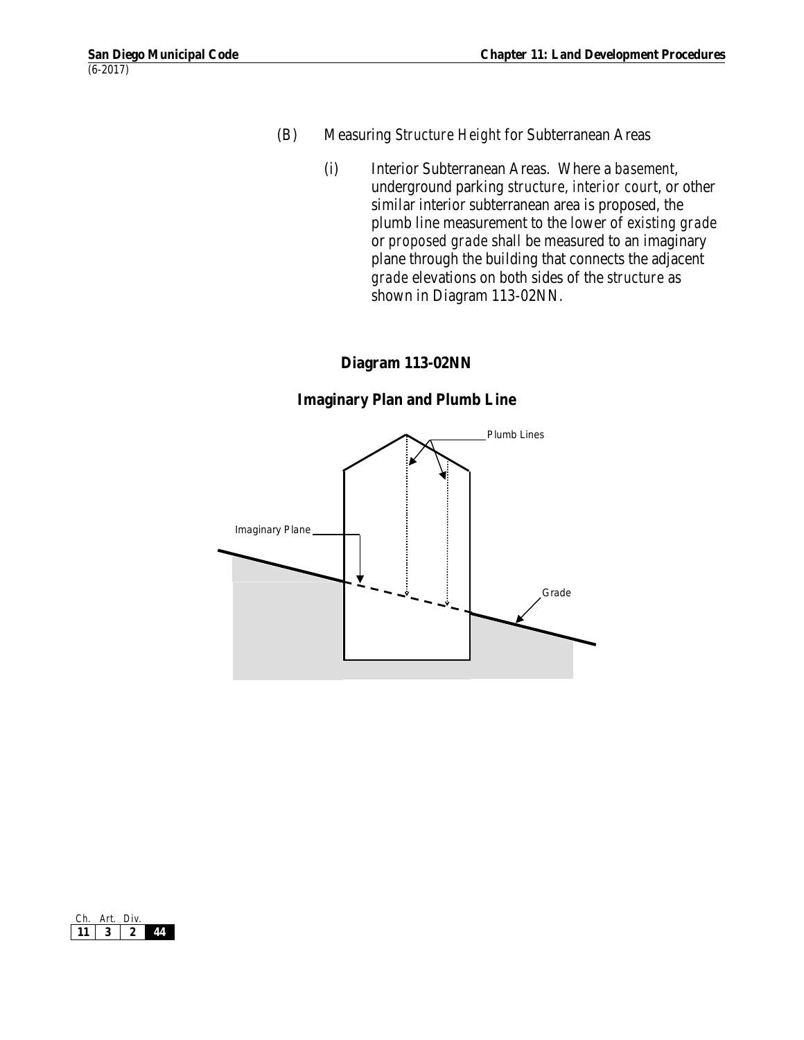- (B) Measuring *Structure Height* for Subterranean Areas
	- (i) Interior Subterranean Areas. Where a *basement*, underground parking *structure*, *interior court*, or other similar interior subterranean area is proposed, the plumb line measurement to the lower of *existing grade*  or *proposed grade* shall be measured to an imaginary plane through the building that connects the adjacent *grade* elevations on both sides of the *structure* as shown in Diagram 113-02NN.

#### **Diagram 113-02NN**

#### **Imaginary Plan and Plumb Line**



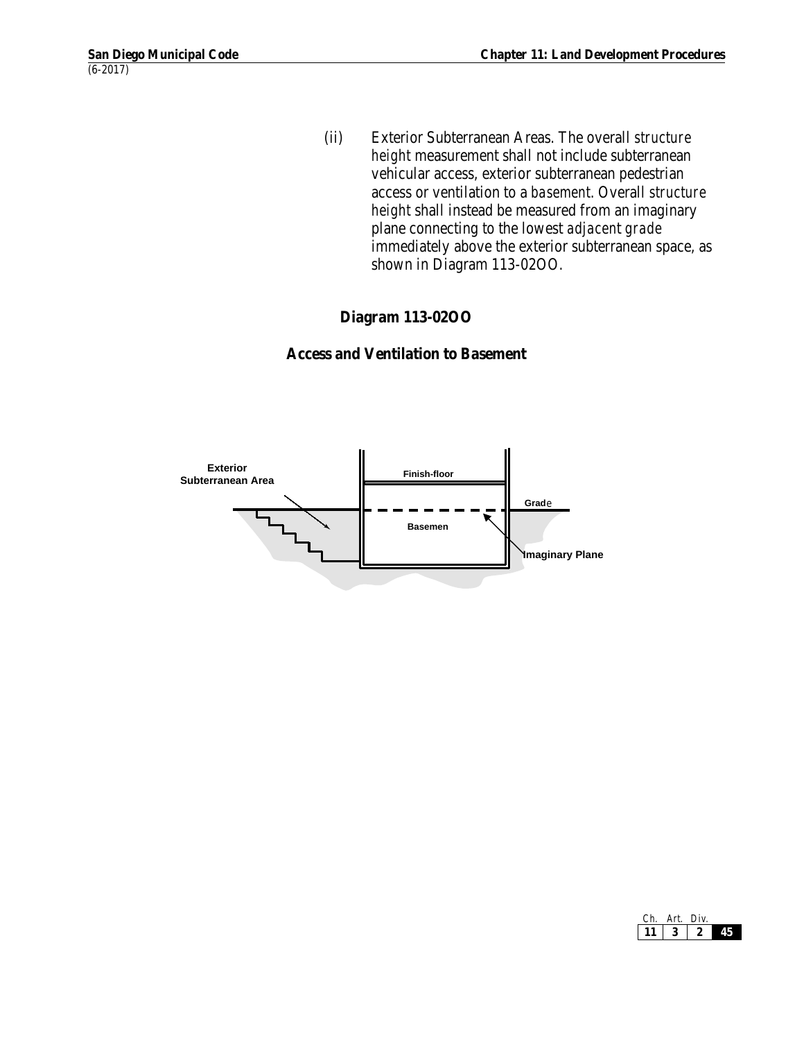(ii) Exterior Subterranean Areas. The overall *structure height* measurement shall not include subterranean vehicular access, exterior subterranean pedestrian access or ventilation to a *basement*. Overall *structure height* shall instead be measured from an imaginary plane connecting to the lowest *adjacen*t *grade* immediately above the exterior subterranean space, as shown in Diagram 113-02OO.

# **Diagram 113-02OO**

#### **Access and Ventilation to Basement**



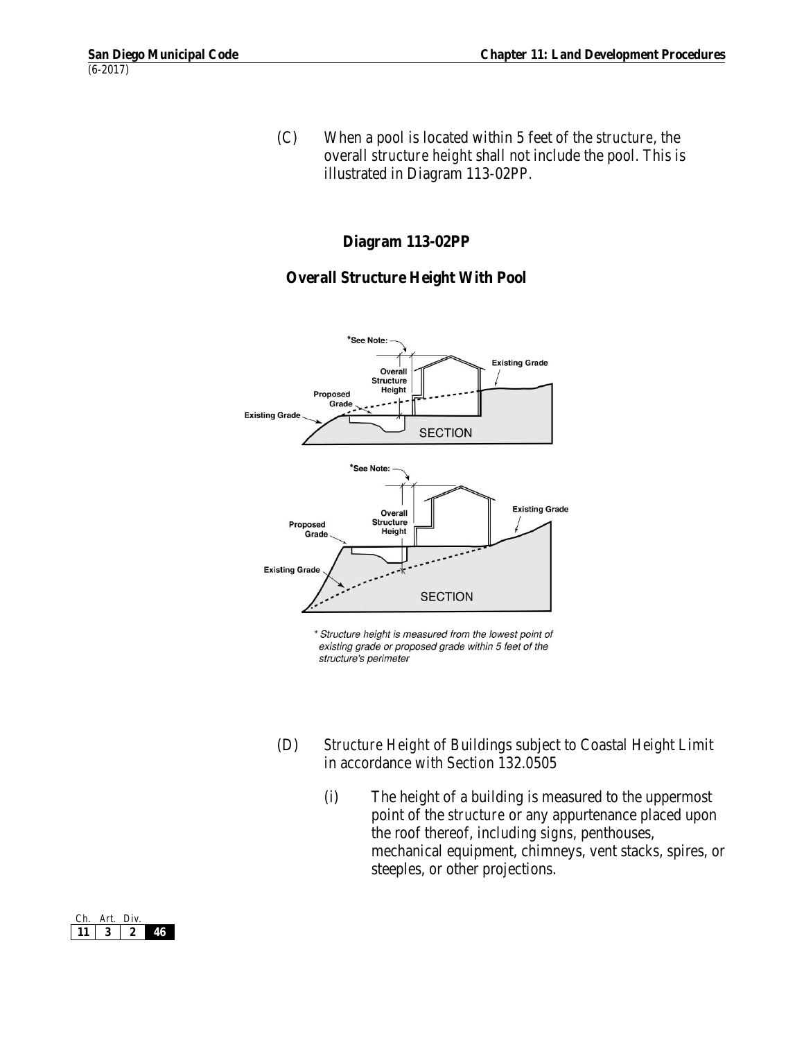(C) When a pool is located within 5 feet of the *structure*, the overall *structure height* shall not include the pool. This is illustrated in Diagram 113-02PP.

#### **Diagram 113-02PP**

# **Overall Structure Height With Pool**



\* Structure height is measured from the lowest point of existing grade or proposed grade within 5 feet of the structure's perimeter

- (D) *Structure Height* of Buildings subject to Coastal Height Limit in accordance with Section 132.0505
	- (i) The height of a building is measured to the uppermost point of the *structure* or any appurtenance placed upon the roof thereof, including *signs*, penthouses, mechanical equipment, chimneys, vent stacks, spires, or steeples, or other projections.

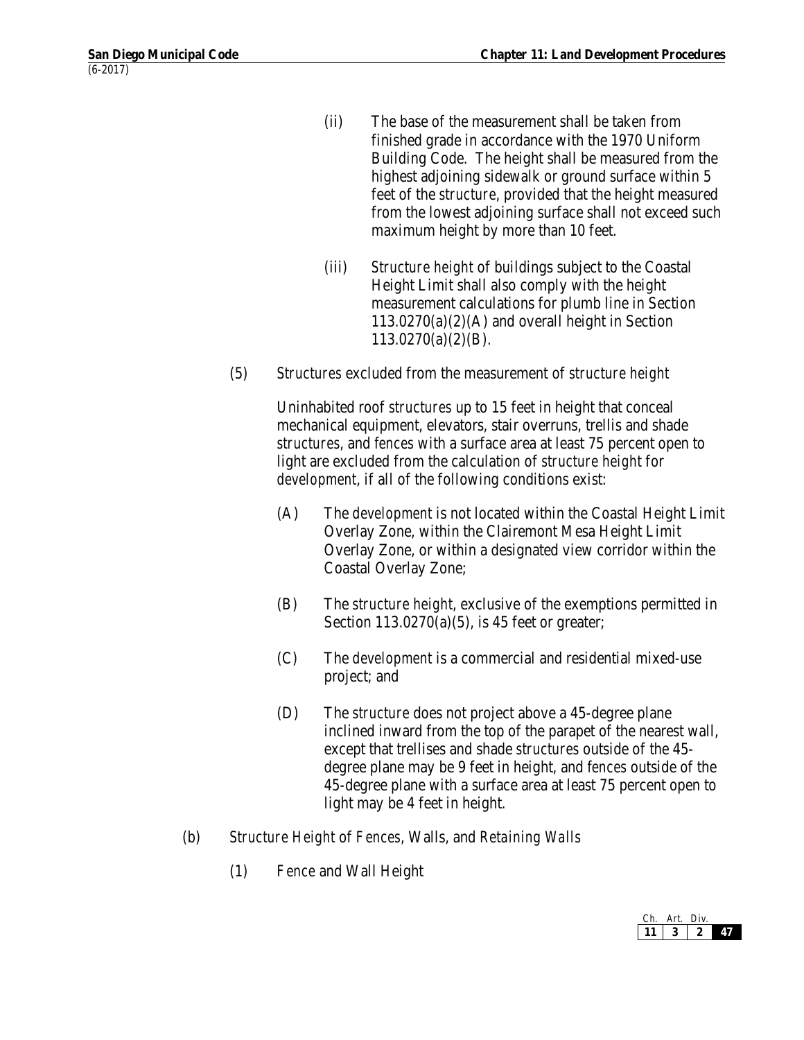- (ii) The base of the measurement shall be taken from finished grade in accordance with the 1970 Uniform Building Code. The height shall be measured from the highest adjoining sidewalk or ground surface within 5 feet of the *structure*, provided that the height measured from the lowest adjoining surface shall not exceed such maximum height by more than 10 feet.
- (iii) *Structure height* of buildings subject to the Coastal Height Limit shall also comply with the height measurement calculations for plumb line in Section  $113.0270(a)(2)(A)$  and overall height in Section  $113.0270(a)(2)(B)$ .
- (5) *Structures* excluded from the measurement of *structure height*

Uninhabited roof *structures* up to 15 feet in height that conceal mechanical equipment, elevators, stair overruns, trellis and shade *structures*, and *fences* with a surface area at least 75 percent open to light are excluded from the calculation of *structure height* for *development*, if all of the following conditions exist:

- (A) The *development* is not located within the Coastal Height Limit Overlay Zone, within the Clairemont Mesa Height Limit Overlay Zone, or within a designated view corridor within the Coastal Overlay Zone;
- (B) The *structure height*, exclusive of the exemptions permitted in Section 113.0270(a)(5), is 45 feet or greater;
- (C) The *development* is a commercial and residential mixed-use project; and
- (D) The *structure* does not project above a 45-degree plane inclined inward from the top of the parapet of the nearest wall, except that trellises and shade *structures* outside of the 45 degree plane may be 9 feet in height, and *fences* outside of the 45-degree plane with a surface area at least 75 percent open to light may be 4 feet in height.
- (b) *Structure Height* of *Fences*, Walls, and *Retaining Walls*
	- (1) *Fence* and Wall Height

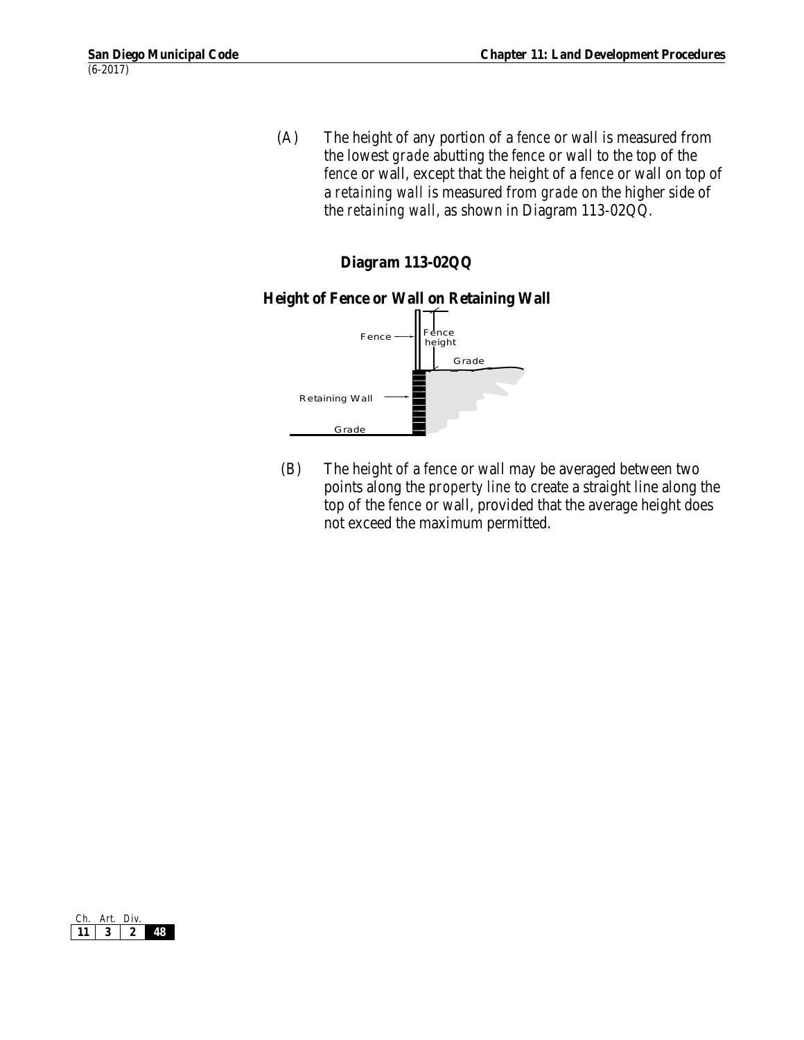(A) The height of any portion of a *fence* or wall is measured from the lowest *grade* abutting the *fence* or wall to the top of the *fence* or wall, except that the height of a *fence* or wall on top of a *retaining wall* is measured from *grade* on the higher side of the *retaining wall*, as shown in Diagram 113-02QQ.

# **Diagram 113-02QQ**

#### **Height of Fence or Wall on Retaining Wall**



 (B) The height of a *fence* or wall may be averaged between two points along the *property line* to create a straight line along the top of the *fence* or wall, provided that the average height does not exceed the maximum permitted.